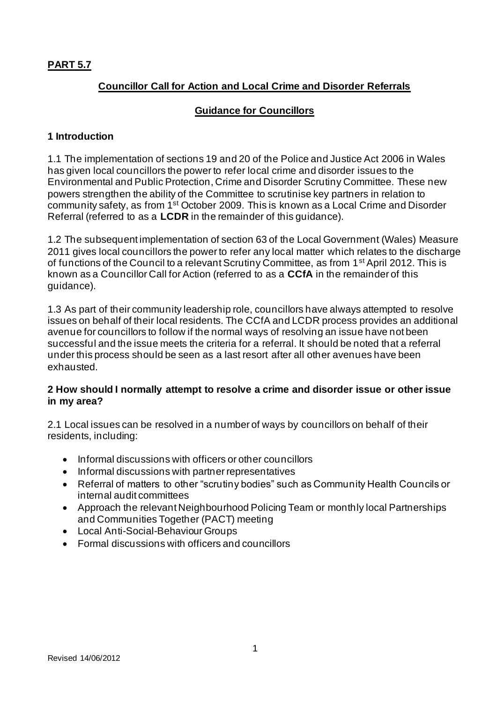# **PART 5.7**

# **Councillor Call for Action and Local Crime and Disorder Referrals**

### **Guidance for Councillors**

#### **1 Introduction**

1.1 The implementation of sections 19 and 20 of the Police and Justice Act 2006 in Wales has given local councillors the power to refer local crime and disorder issues to the Environmental and Public Protection, Crime and Disorder Scrutiny Committee. These new powers strengthen the ability of the Committee to scrutinise key partners in relation to community safety, as from 1st October 2009. This is known as a Local Crime and Disorder Referral (referred to as a **LCDR** in the remainder of this guidance).

1.2 The subsequent implementation of section 63 of the Local Government (Wales) Measure 2011 gives local councillors the power to refer any local matter which relates to the discharge of functions of the Council to a relevant Scrutiny Committee, as from 1<sup>st</sup> April 2012. This is known as a Councillor Call for Action (referred to as a **CCfA** in the remainder of this guidance).

1.3 As part of their community leadership role, councillors have always attempted to resolve issues on behalf of their local residents. The CCfA and LCDR process provides an additional avenue for councillors to follow if the normal ways of resolving an issue have not been successful and the issue meets the criteria for a referral. It should be noted that a referral under this process should be seen as a last resort after all other avenues have been exhausted.

### **2 How should I normally attempt to resolve a crime and disorder issue or other issue in my area?**

2.1 Local issues can be resolved in a number of ways by councillors on behalf of their residents, including:

- Informal discussions with officers or other councillors
- Informal discussions with partner representatives
- Referral of matters to other "scrutiny bodies" such as Community Health Councils or internal audit committees
- Approach the relevant Neighbourhood Policing Team or monthly local Partnerships and Communities Together (PACT) meeting
- Local Anti-Social-Behaviour Groups
- Formal discussions with officers and councillors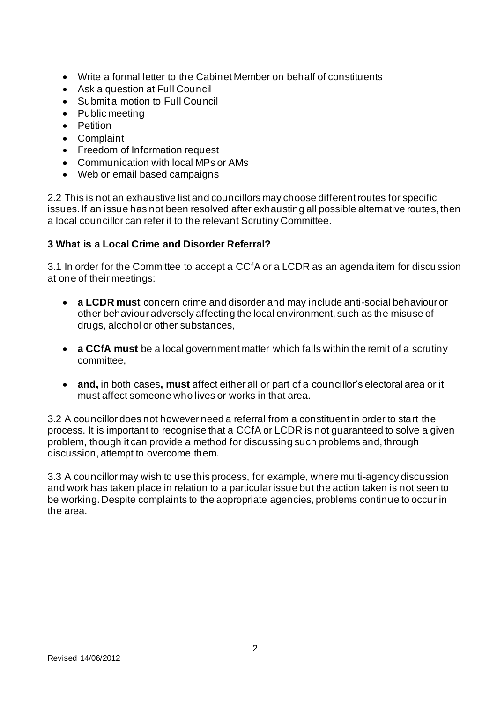- Write a formal letter to the Cabinet Member on behalf of constituents
- Ask a question at Full Council
- Submit a motion to Full Council
- Public meeting
- Petition
- Complaint
- Freedom of Information request
- Communication with local MPs or AMs
- Web or email based campaigns

2.2 This is not an exhaustive list and councillors may choose different routes for specific issues. If an issue has not been resolved after exhausting all possible alternative routes, then a local councillor can refer it to the relevant Scrutiny Committee.

# **3 What is a Local Crime and Disorder Referral?**

3.1 In order for the Committee to accept a CCfA or a LCDR as an agenda item for discu ssion at one of their meetings:

- **a LCDR must** concern crime and disorder and may include anti-social behaviour or other behaviour adversely affecting the local environment, such as the misuse of drugs, alcohol or other substances,
- **a CCfA must** be a local government matter which falls within the remit of a scrutiny committee,
- **and,** in both cases**, must** affect either all or part of a councillor's electoral area or it must affect someone who lives or works in that area.

3.2 A councillor does not however need a referral from a constituent in order to start the process. It is important to recognise that a CCfA or LCDR is not guaranteed to solve a given problem, though it can provide a method for discussing such problems and, through discussion, attempt to overcome them.

3.3 A councillor may wish to use this process, for example, where multi-agency discussion and work has taken place in relation to a particular issue but the action taken is not seen to be working. Despite complaints to the appropriate agencies, problems continue to occur in the area.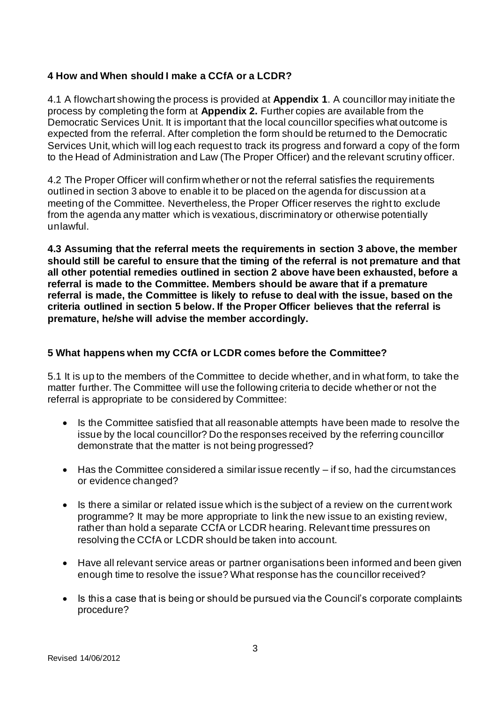# **4 How and When should I make a CCfA or a LCDR?**

4.1 A flowchart showing the process is provided at **Appendix 1**. A councillor may initiate the process by completing the form at **Appendix 2.** Further copies are available from the Democratic Services Unit. It is important that the local councillor specifies what outcome is expected from the referral. After completion the form should be returned to the Democratic Services Unit, which will log each request to track its progress and forward a copy of the form to the Head of Administration and Law (The Proper Officer) and the relevant scrutiny officer.

4.2 The Proper Officer will confirm whether or not the referral satisfies the requirements outlined in section 3 above to enable it to be placed on the agenda for discussion at a meeting of the Committee. Nevertheless, the Proper Officer reserves the right to exclude from the agenda any matter which is vexatious, discriminatory or otherwise potentially unlawful.

**4.3 Assuming that the referral meets the requirements in section 3 above, the member should still be careful to ensure that the timing of the referral is not premature and that all other potential remedies outlined in section 2 above have been exhausted, before a referral is made to the Committee. Members should be aware that if a premature referral is made, the Committee is likely to refuse to deal with the issue, based on the criteria outlined in section 5 below. If the Proper Officer believes that the referral is premature, he/she will advise the member accordingly.** 

### **5 What happens when my CCfA or LCDR comes before the Committee?**

5.1 It is up to the members of the Committee to decide whether, and in what form, to take the matter further. The Committee will use the following criteria to decide whether or not the referral is appropriate to be considered by Committee:

- Is the Committee satisfied that all reasonable attempts have been made to resolve the issue by the local councillor? Do the responses received by the referring councillor demonstrate that the matter is not being progressed?
- Has the Committee considered a similar issue recently if so, had the circumstances or evidence changed?
- Is there a similar or related issue which is the subject of a review on the current work programme? It may be more appropriate to link the new issue to an existing review, rather than hold a separate CCfA or LCDR hearing. Relevant time pressures on resolving the CCfA or LCDR should be taken into account.
- Have all relevant service areas or partner organisations been informed and been given enough time to resolve the issue? What response has the councillor received?
- Is this a case that is being or should be pursued via the Council's corporate complaints procedure?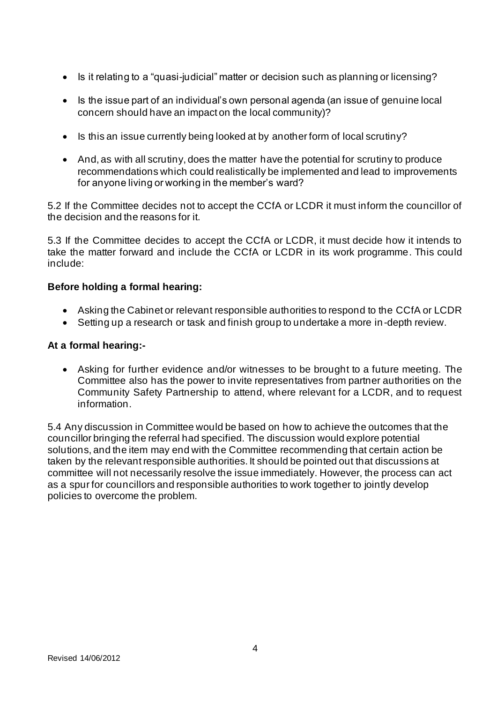- Is it relating to a "quasi-judicial" matter or decision such as planning or licensing?
- Is the issue part of an individual's own personal agenda (an issue of genuine local concern should have an impact on the local community)?
- Is this an issue currently being looked at by another form of local scrutiny?
- And, as with all scrutiny, does the matter have the potential for scrutiny to produce recommendations which could realistically be implemented and lead to improvements for anyone living or working in the member's ward?

5.2 If the Committee decides not to accept the CCfA or LCDR it must inform the councillor of the decision and the reasons for it.

5.3 If the Committee decides to accept the CCfA or LCDR, it must decide how it intends to take the matter forward and include the CCfA or LCDR in its work programme. This could include:

#### **Before holding a formal hearing:**

- Asking the Cabinet or relevant responsible authorities to respond to the CCfA or LCDR
- Setting up a research or task and finish group to undertake a more in-depth review.

#### **At a formal hearing:-**

• Asking for further evidence and/or witnesses to be brought to a future meeting. The Committee also has the power to invite representatives from partner authorities on the Community Safety Partnership to attend, where relevant for a LCDR, and to request information.

5.4 Any discussion in Committee would be based on how to achieve the outcomes that the councillor bringing the referral had specified. The discussion would explore potential solutions, and the item may end with the Committee recommending that certain action be taken by the relevant responsible authorities. It should be pointed out that discussions at committee will not necessarily resolve the issue immediately. However, the process can act as a spur for councillors and responsible authorities to work together to jointly develop policies to overcome the problem.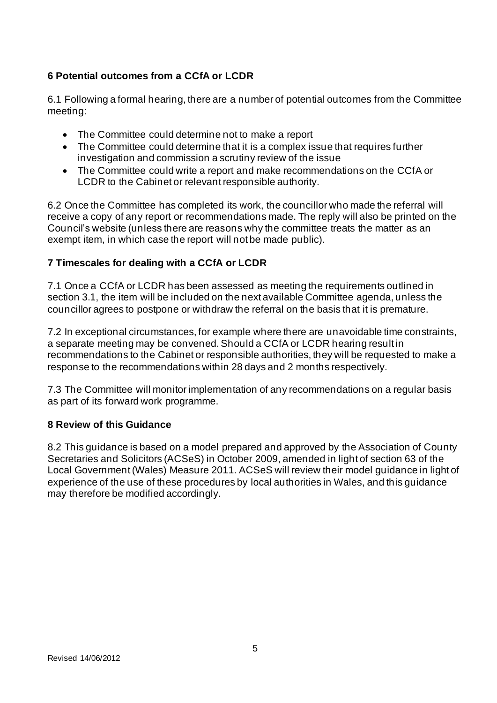# **6 Potential outcomes from a CCfA or LCDR**

6.1 Following a formal hearing, there are a number of potential outcomes from the Committee meeting:

- The Committee could determine not to make a report
- The Committee could determine that it is a complex issue that requires further investigation and commission a scrutiny review of the issue
- The Committee could write a report and make recommendations on the CCfA or LCDR to the Cabinet or relevant responsible authority.

6.2 Once the Committee has completed its work, the councillor who made the referral will receive a copy of any report or recommendations made. The reply will also be printed on the Council's website (unless there are reasons why the committee treats the matter as an exempt item, in which case the report will not be made public).

### **7 Timescales for dealing with a CCfA or LCDR**

7.1 Once a CCfA or LCDR has been assessed as meeting the requirements outlined in section 3.1, the item will be included on the next available Committee agenda, unless the councillor agrees to postpone or withdraw the referral on the basis that it is premature.

7.2 In exceptional circumstances, for example where there are unavoidable time constraints, a separate meeting may be convened. Should a CCfA or LCDR hearing result in recommendations to the Cabinet or responsible authorities, they will be requested to make a response to the recommendations within 28 days and 2 months respectively.

7.3 The Committee will monitor implementation of any recommendations on a regular basis as part of its forward work programme.

#### **8 Review of this Guidance**

8.2 This guidance is based on a model prepared and approved by the Association of County Secretaries and Solicitors (ACSeS) in October 2009, amended in light of section 63 of the Local Government (Wales) Measure 2011. ACSeS will review their model guidance in light of experience of the use of these procedures by local authorities in Wales, and this guidance may therefore be modified accordingly.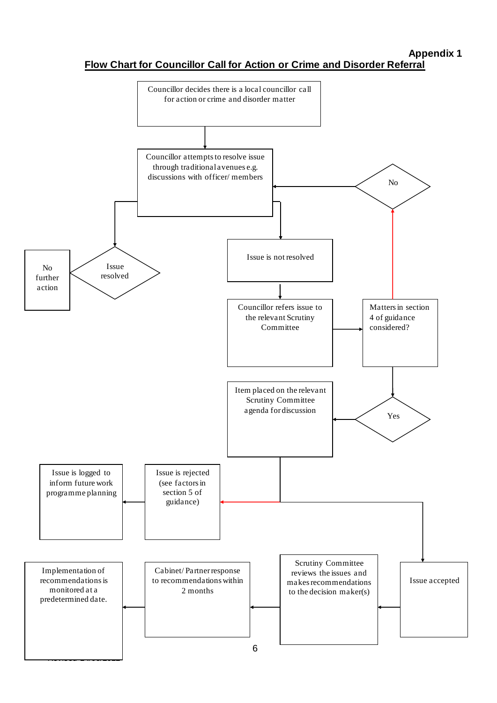### **Appendix 1**

**Flow Chart for Councillor Call for Action or Crime and Disorder Referral**

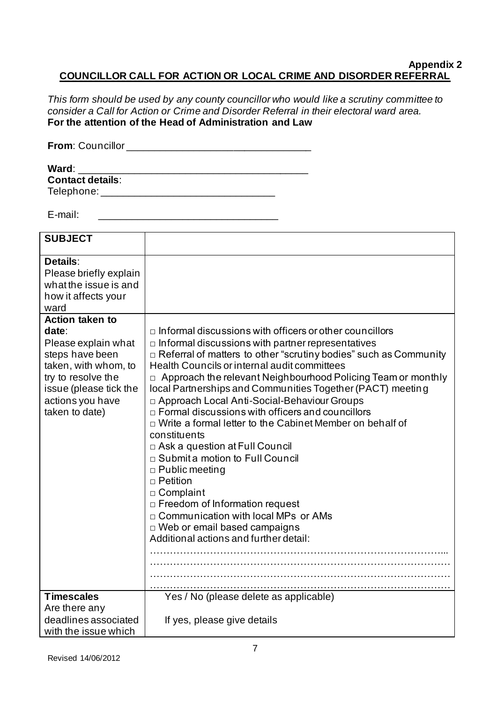#### **Appendix 2 COUNCILLOR CALL FOR ACTION OR LOCAL CRIME AND DISORDER REFERRAL**

*This form should be used by any county councillor who would like a scrutiny committee to consider a Call for Action or Crime and Disorder Referral in their electoral ward area.* **For the attention of the Head of Administration and Law**

| <b>From: Councillor</b> |  |
|-------------------------|--|
|                         |  |
| Ward:                   |  |
| <b>Contact details:</b> |  |

Telephone: \_\_\_\_\_\_\_\_\_\_\_\_\_\_\_\_\_\_\_\_\_\_\_\_\_\_\_\_\_\_\_

E-mail:  $\blacksquare$ 

| <b>SUBJECT</b>                                                                                                                                                                          |                                                                                                                                                                                                                                                                                                                                                                                                                                                                                                                                                                                                                                                                                                                                                                                                                                                                                             |
|-----------------------------------------------------------------------------------------------------------------------------------------------------------------------------------------|---------------------------------------------------------------------------------------------------------------------------------------------------------------------------------------------------------------------------------------------------------------------------------------------------------------------------------------------------------------------------------------------------------------------------------------------------------------------------------------------------------------------------------------------------------------------------------------------------------------------------------------------------------------------------------------------------------------------------------------------------------------------------------------------------------------------------------------------------------------------------------------------|
| Details:<br>Please briefly explain<br>what the issue is and<br>how it affects your<br>ward                                                                                              |                                                                                                                                                                                                                                                                                                                                                                                                                                                                                                                                                                                                                                                                                                                                                                                                                                                                                             |
| <b>Action taken to</b><br>date:<br>Please explain what<br>steps have been<br>taken, with whom, to<br>try to resolve the<br>issue (please tick the<br>actions you have<br>taken to date) | $\Box$ Informal discussions with officers or other councillors<br>$\Box$ Informal discussions with partner representatives<br>$\Box$ Referral of matters to other "scrutiny bodies" such as Community<br>Health Councils or internal audit committees<br>$\Box$ Approach the relevant Neighbourhood Policing Team or monthly<br>local Partnerships and Communities Together (PACT) meeting<br>□ Approach Local Anti-Social-Behaviour Groups<br>$\Box$ Formal discussions with officers and councillors<br>□ Write a formal letter to the Cabinet Member on behalf of<br>constituents<br>□ Ask a question at Full Council<br>□ Submit a motion to Full Council<br>$\Box$ Public meeting<br>$\Box$ Petition<br>□ Complaint<br>$\Box$ Freedom of Information request<br>□ Communication with local MPs or AMs<br>$\Box$ Web or email based campaigns<br>Additional actions and further detail: |
| <b>Timescales</b><br>Are there any                                                                                                                                                      | Yes / No (please delete as applicable)                                                                                                                                                                                                                                                                                                                                                                                                                                                                                                                                                                                                                                                                                                                                                                                                                                                      |
| deadlines associated<br>with the issue which                                                                                                                                            | If yes, please give details                                                                                                                                                                                                                                                                                                                                                                                                                                                                                                                                                                                                                                                                                                                                                                                                                                                                 |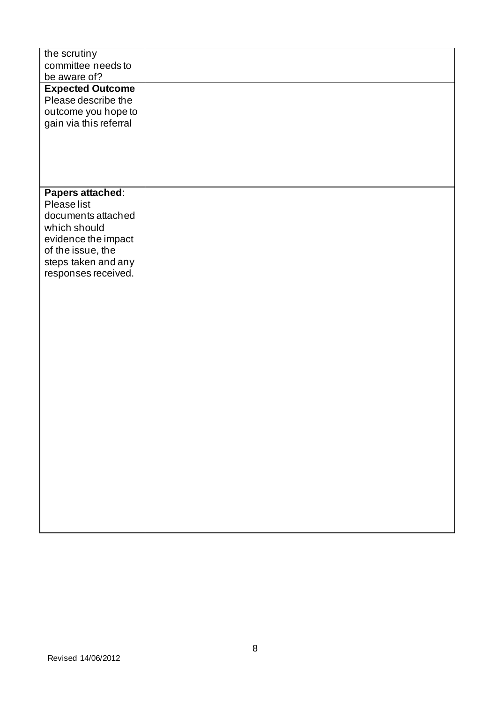| the scrutiny<br>committee needs to |  |
|------------------------------------|--|
| be aware of?                       |  |
| <b>Expected Outcome</b>            |  |
| Please describe the                |  |
| outcome you hope to                |  |
| gain via this referral             |  |
|                                    |  |
|                                    |  |
|                                    |  |
|                                    |  |
|                                    |  |
| Papers attached:<br>Please list    |  |
| documents attached                 |  |
| which should                       |  |
| evidence the impact                |  |
| of the issue, the                  |  |
| steps taken and any                |  |
| responses received.                |  |
|                                    |  |
|                                    |  |
|                                    |  |
|                                    |  |
|                                    |  |
|                                    |  |
|                                    |  |
|                                    |  |
|                                    |  |
|                                    |  |
|                                    |  |
|                                    |  |
|                                    |  |
|                                    |  |
|                                    |  |
|                                    |  |
|                                    |  |
|                                    |  |
|                                    |  |
|                                    |  |